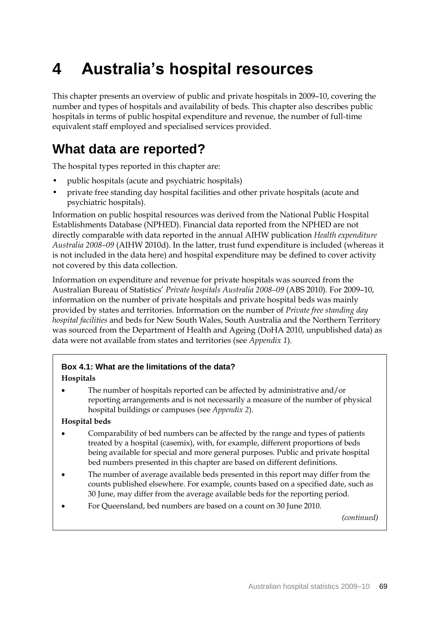# **4 Australia's hospital resources**

This chapter presents an overview of public and private hospitals in 2009–10, covering the number and types of hospitals and availability of beds. This chapter also describes public hospitals in terms of public hospital expenditure and revenue, the number of full-time equivalent staff employed and specialised services provided.

## **What data are reported?**

The hospital types reported in this chapter are:

- public hospitals (acute and psychiatric hospitals)
- private free standing day hospital facilities and other private hospitals (acute and psychiatric hospitals).

Information on public hospital resources was derived from the National Public Hospital Establishments Database (NPHED). Financial data reported from the NPHED are not directly comparable with data reported in the annual AIHW publication *Health expenditure Australia 2008–09* (AIHW 2010d). In the latter, trust fund expenditure is included (whereas it is not included in the data here) and hospital expenditure may be defined to cover activity not covered by this data collection.

Information on expenditure and revenue for private hospitals was sourced from the Australian Bureau of Statistics' *Private hospitals Australia 2008–09* (ABS 2010). For 2009–10, information on the number of private hospitals and private hospital beds was mainly provided by states and territories. Information on the number of *Private free standing day hospital facilities* and beds for New South Wales, South Australia and the Northern Territory was sourced from the Department of Health and Ageing (DoHA 2010, unpublished data) as data were not available from states and territories (see *Appendix 1*).

### **Box 4.1: What are the limitations of the data?**

#### **Hospitals**

 The number of hospitals reported can be affected by administrative and/or reporting arrangements and is not necessarily a measure of the number of physical hospital buildings or campuses (see *Appendix 2*).

#### **Hospital beds**

- Comparability of bed numbers can be affected by the range and types of patients treated by a hospital (casemix), with, for example, different proportions of beds being available for special and more general purposes. Public and private hospital bed numbers presented in this chapter are based on different definitions.
- The number of average available beds presented in this report may differ from the counts published elsewhere. For example, counts based on a specified date, such as 30 June, may differ from the average available beds for the reporting period.
- For Queensland, bed numbers are based on a count on 30 June 2010.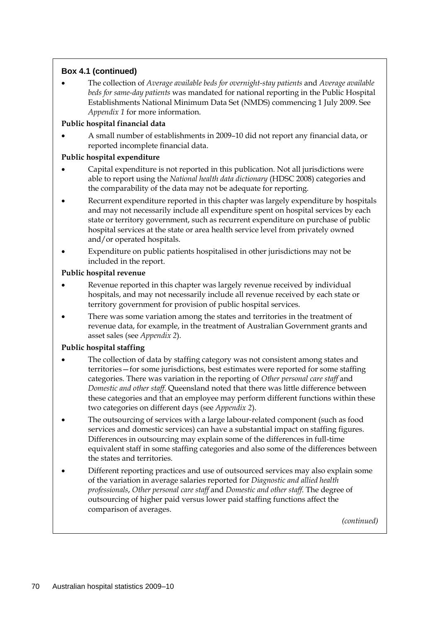## **Box 4.1 (continued)**

 The collection of *Average available beds for overnight-stay patients* and *Average available beds for same-day patients* was mandated for national reporting in the Public Hospital Establishments National Minimum Data Set (NMDS) commencing 1 July 2009. See *Appendix 1* for more information.

### **Public hospital financial data**

 A small number of establishments in 2009–10 did not report any financial data, or reported incomplete financial data.

## **Public hospital expenditure**

- Capital expenditure is not reported in this publication. Not all jurisdictions were able to report using the *National health data dictionary* (HDSC 2008) categories and the comparability of the data may not be adequate for reporting.
- Recurrent expenditure reported in this chapter was largely expenditure by hospitals and may not necessarily include all expenditure spent on hospital services by each state or territory government, such as recurrent expenditure on purchase of public hospital services at the state or area health service level from privately owned and/or operated hospitals.
- Expenditure on public patients hospitalised in other jurisdictions may not be included in the report.

## **Public hospital revenue**

- Revenue reported in this chapter was largely revenue received by individual hospitals, and may not necessarily include all revenue received by each state or territory government for provision of public hospital services.
- There was some variation among the states and territories in the treatment of revenue data, for example, in the treatment of Australian Government grants and asset sales (see *Appendix 2*).

## **Public hospital staffing**

- The collection of data by staffing category was not consistent among states and territories—for some jurisdictions, best estimates were reported for some staffing categories. There was variation in the reporting of *Other personal care staff* and *Domestic and other staff*. Queensland noted that there was little difference between these categories and that an employee may perform different functions within these two categories on different days (see *Appendix 2*).
- The outsourcing of services with a large labour-related component (such as food services and domestic services) can have a substantial impact on staffing figures. Differences in outsourcing may explain some of the differences in full-time equivalent staff in some staffing categories and also some of the differences between the states and territories.
- Different reporting practices and use of outsourced services may also explain some of the variation in average salaries reported for *Diagnostic and allied health professionals*, *Other personal care staff* and *Domestic and other staff*. The degree of outsourcing of higher paid versus lower paid staffing functions affect the comparison of averages.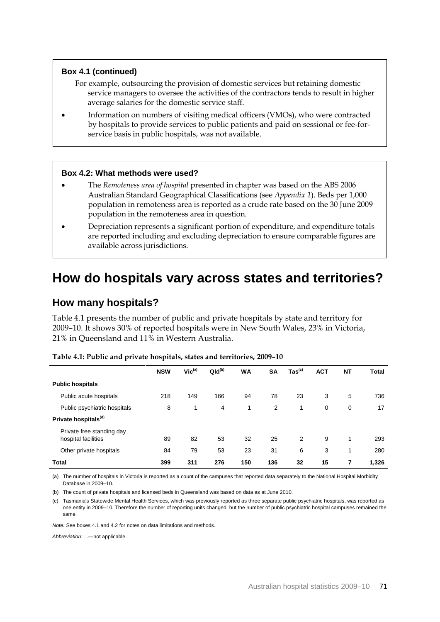#### **Box 4.1 (continued)**

- For example, outsourcing the provision of domestic services but retaining domestic service managers to oversee the activities of the contractors tends to result in higher average salaries for the domestic service staff.
- Information on numbers of visiting medical officers (VMOs), who were contracted by hospitals to provide services to public patients and paid on sessional or fee-forservice basis in public hospitals, was not available.

#### **Box 4.2: What methods were used?**

- The *Remoteness area of hospital* presented in chapter was based on the ABS 2006 Australian Standard Geographical Classifications (see *Appendix 1*). Beds per 1,000 population in remoteness area is reported as a crude rate based on the 30 June 2009 population in the remoteness area in question.
- Depreciation represents a significant portion of expenditure, and expenditure totals are reported including and excluding depreciation to ensure comparable figures are available across jurisdictions.

## **How do hospitals vary across states and territories?**

## **How many hospitals?**

Table 4.1 presents the number of public and private hospitals by state and territory for 2009–10. It shows 30% of reported hospitals were in New South Wales, 23% in Victoria, 21% in Queensland and 11% in Western Australia.

|                                                  | <b>NSW</b> | Vic <sup>(a)</sup> | $QId^{(b)}$ | <b>WA</b> | <b>SA</b> | $\text{Tas}^{\text{(c)}}$ | <b>ACT</b> | <b>NT</b> | <b>Total</b> |
|--------------------------------------------------|------------|--------------------|-------------|-----------|-----------|---------------------------|------------|-----------|--------------|
| <b>Public hospitals</b>                          |            |                    |             |           |           |                           |            |           |              |
| Public acute hospitals                           | 218        | 149                | 166         | 94        | 78        | 23                        | 3          | 5         | 736          |
| Public psychiatric hospitals                     | 8          | 1                  | 4           | 1         | 2         | 1                         | 0          | 0         | 17           |
| Private hospitals <sup>(d)</sup>                 |            |                    |             |           |           |                           |            |           |              |
| Private free standing day<br>hospital facilities | 89         | 82                 | 53          | 32        | 25        | 2                         | 9          | 1         | 293          |
| Other private hospitals                          | 84         | 79                 | 53          | 23        | 31        | 6                         | 3          | 1         | 280          |
| Total                                            | 399        | 311                | 276         | 150       | 136       | 32                        | 15         | 7         | 1,326        |

| Table 4.1: Public and private hospitals, states and territories, 2009–10 |  |  |
|--------------------------------------------------------------------------|--|--|
|                                                                          |  |  |

(a) The number of hospitals in Victoria is reported as a count of the campuses that reported data separately to the National Hospital Morbidity Database in 2009–10.

(b) The count of private hospitals and licensed beds in Queensland was based on data as at June 2010.

(c) Tasmania's Statewide Mental Health Services, which was previously reported as three separate public psychiatric hospitals, was reported as one entity in 2009–10. Therefore the number of reporting units changed, but the number of public psychiatric hospital campuses remained the same.

*Note:* See boxes 4.1 and 4.2 for notes on data limitations and methods.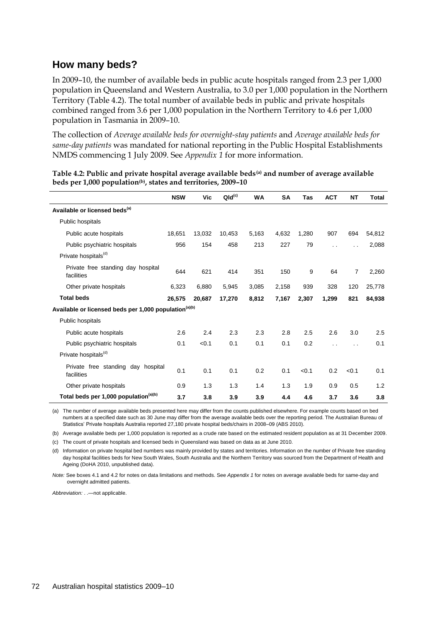## **How many beds?**

In 2009–10, the number of available beds in public acute hospitals ranged from 2.3 per 1,000 population in Queensland and Western Australia, to 3.0 per 1,000 population in the Northern Territory (Table 4.2). The total number of available beds in public and private hospitals combined ranged from 3.6 per 1,000 population in the Northern Territory to 4.6 per 1,000 population in Tasmania in 2009–10.

The collection of *Average available beds for overnight-stay patients* and *Average available beds for same-day patients* was mandated for national reporting in the Public Hospital Establishments NMDS commencing 1 July 2009. See *Appendix 1* for more information.

|                                                                   | <b>NSW</b> | Vic    | $QId^{(c)}$ | <b>WA</b> | <b>SA</b> | Tas   | <b>ACT</b> | <b>NT</b>            | Total  |
|-------------------------------------------------------------------|------------|--------|-------------|-----------|-----------|-------|------------|----------------------|--------|
| Available or licensed beds <sup>(a)</sup>                         |            |        |             |           |           |       |            |                      |        |
| Public hospitals                                                  |            |        |             |           |           |       |            |                      |        |
| Public acute hospitals                                            | 18,651     | 13,032 | 10,453      | 5,163     | 4,632     | 1,280 | 907        | 694                  | 54,812 |
| Public psychiatric hospitals                                      | 956        | 154    | 458         | 213       | 227       | 79    | . .        | $\ddot{\phantom{0}}$ | 2,088  |
| Private hospitals <sup>(d)</sup>                                  |            |        |             |           |           |       |            |                      |        |
| Private free standing day hospital<br>facilities                  | 644        | 621    | 414         | 351       | 150       | 9     | 64         | 7                    | 2,260  |
| Other private hospitals                                           | 6,323      | 6,880  | 5,945       | 3,085     | 2,158     | 939   | 328        | 120                  | 25,778 |
| <b>Total beds</b>                                                 | 26,575     | 20,687 | 17,270      | 8,812     | 7,167     | 2,307 | 1,299      | 821                  | 84,938 |
| Available or licensed beds per 1,000 population <sup>(a)(b)</sup> |            |        |             |           |           |       |            |                      |        |
| Public hospitals                                                  |            |        |             |           |           |       |            |                      |        |
| Public acute hospitals                                            | 2.6        | 2.4    | 2.3         | 2.3       | 2.8       | 2.5   | 2.6        | 3.0                  | 2.5    |
| Public psychiatric hospitals                                      | 0.1        | < 0.1  | 0.1         | 0.1       | 0.1       | 0.2   | . .        | $\ddot{\phantom{a}}$ | 0.1    |
| Private hospitals <sup>(d)</sup>                                  |            |        |             |           |           |       |            |                      |        |
| Private free standing day hospital<br>facilities                  | 0.1        | 0.1    | 0.1         | 0.2       | 0.1       | < 0.1 | 0.2        | < 0.1                | 0.1    |
| Other private hospitals                                           | 0.9        | 1.3    | 1.3         | 1.4       | 1.3       | 1.9   | 0.9        | 0.5                  | 1.2    |
| Total beds per 1,000 population <sup>(a)(b)</sup>                 | 3.7        | 3.8    | 3.9         | 3.9       | 4.4       | 4.6   | 3.7        | 3.6                  | 3.8    |

**Table 4.2: Public and private hospital average available beds(a) and number of average available beds per 1,000 population(b), states and territories, 2009–10**

(a) The number of average available beds presented here may differ from the counts published elsewhere. For example counts based on bed numbers at a specified date such as 30 June may differ from the average available beds over the reporting period. The Australian Bureau of Statistics' Private hospitals Australia reported 27,180 private hospital beds/chairs in 2008–09 (ABS 2010).

(b) Average available beds per 1,000 population is reported as a crude rate based on the estimated resident population as at 31 December 2009.

(c) The count of private hospitals and licensed beds in Queensland was based on data as at June 2010.

(d) Information on private hospital bed numbers was mainly provided by states and territories. Information on the number of Private free standing day hospital facilities beds for New South Wales, South Australia and the Northern Territory was sourced from the Department of Health and Ageing (DoHA 2010, unpublished data).

*Note:* See boxes 4.1 and 4.2 for notes on data limitations and methods. See *Appendix 1* for notes on average available beds for same-day and overnight admitted patients.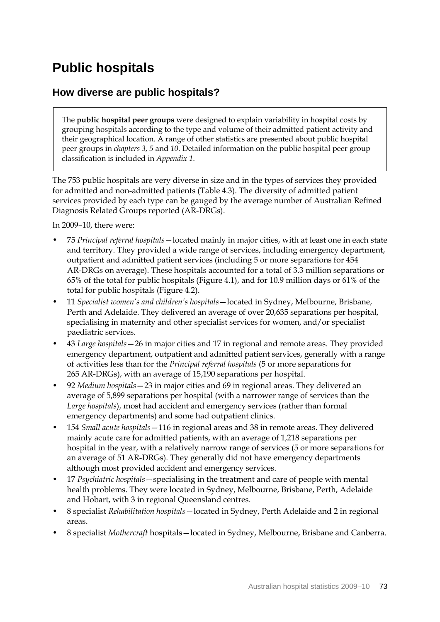# **Public hospitals**

## **How diverse are public hospitals?**

The **public hospital peer groups** were designed to explain variability in hospital costs by grouping hospitals according to the type and volume of their admitted patient activity and their geographical location. A range of other statistics are presented about public hospital peer groups in *chapters 3, 5* and *10*. Detailed information on the public hospital peer group classification is included in *Appendix 1*.

The 753 public hospitals are very diverse in size and in the types of services they provided for admitted and non-admitted patients (Table 4.3). The diversity of admitted patient services provided by each type can be gauged by the average number of Australian Refined Diagnosis Related Groups reported (AR-DRGs).

In 2009–10, there were:

- 75 *Principal referral hospitals*—located mainly in major cities, with at least one in each state and territory. They provided a wide range of services, including emergency department, outpatient and admitted patient services (including 5 or more separations for 454 AR-DRGs on average). These hospitals accounted for a total of 3.3 million separations or 65% of the total for public hospitals (Figure 4.1), and for 10.9 million days or 61% of the total for public hospitals (Figure 4.2).
- 11 *Specialist women's and children's hospitals*—located in Sydney, Melbourne, Brisbane, Perth and Adelaide. They delivered an average of over 20,635 separations per hospital, specialising in maternity and other specialist services for women, and/or specialist paediatric services.
- 43 *Large hospitals*—26 in major cities and 17 in regional and remote areas. They provided emergency department, outpatient and admitted patient services, generally with a range of activities less than for the *Principal referral hospitals* (5 or more separations for 265 AR-DRGs), with an average of 15,190 separations per hospital.
- 92 *Medium hospitals*—23 in major cities and 69 in regional areas. They delivered an average of 5,899 separations per hospital (with a narrower range of services than the *Large hospitals*), most had accident and emergency services (rather than formal emergency departments) and some had outpatient clinics.
- 154 *Small acute hospitals*—116 in regional areas and 38 in remote areas. They delivered mainly acute care for admitted patients, with an average of 1,218 separations per hospital in the year, with a relatively narrow range of services (5 or more separations for an average of 51 AR-DRGs). They generally did not have emergency departments although most provided accident and emergency services.
- 17 *Psychiatric hospitals*—specialising in the treatment and care of people with mental health problems. They were located in Sydney, Melbourne, Brisbane, Perth, Adelaide and Hobart, with 3 in regional Queensland centres.
- 8 specialist *Rehabilitation hospitals*—located in Sydney, Perth Adelaide and 2 in regional areas.
- 8 specialist *Mothercraft* hospitals—located in Sydney, Melbourne, Brisbane and Canberra.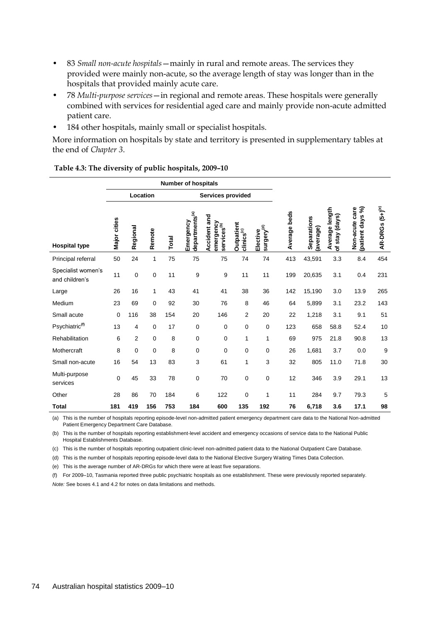- 83 *Small non-acute hospitals*—mainly in rural and remote areas. The services they provided were mainly non-acute, so the average length of stay was longer than in the hospitals that provided mainly acute care.
- 78 *Multi-purpose services*—in regional and remote areas. These hospitals were generally combined with services for residential aged care and mainly provide non-acute admitted patient care.
- 184 other hospitals, mainly small or specialist hospitals.

More information on hospitals by state and territory is presented in supplementary tables at the end of *Chapter 3*.

|                                      | <b>Number of hospitals</b> |                |             |       |                                         |                                                      |                                             |                                    |              |                         |                                    |                                    |                       |
|--------------------------------------|----------------------------|----------------|-------------|-------|-----------------------------------------|------------------------------------------------------|---------------------------------------------|------------------------------------|--------------|-------------------------|------------------------------------|------------------------------------|-----------------------|
|                                      |                            |                | Location    |       |                                         | Services provided                                    |                                             |                                    |              |                         |                                    |                                    |                       |
| <b>Hospital type</b>                 | Major cities               | Regional       | Remote      | Total | departments <sup>(a)</sup><br>Emergency | Accident and<br>emergency<br>services <sup>(b)</sup> | <b>Outpatient</b><br>clinics <sup>(c)</sup> | surgery <sup>(d)</sup><br>Elective | Average beds | Separations<br>average) | Average length<br>stay (days)<br>৳ | (patient days %)<br>Non-acute care | $AR-DRGs (5+) ^{(e)}$ |
| Principal referral                   | 50                         | 24             | 1           | 75    | 75                                      | 75                                                   | 74                                          | 74                                 | 413          | 43,591                  | 3.3                                | 8.4                                | 454                   |
| Specialist women's<br>and children's | 11                         | 0              | $\mathbf 0$ | 11    | 9                                       | 9                                                    | 11                                          | 11                                 | 199          | 20,635                  | 3.1                                | 0.4                                | 231                   |
| Large                                | 26                         | 16             | 1           | 43    | 41                                      | 41                                                   | 38                                          | 36                                 | 142          | 15,190                  | 3.0                                | 13.9                               | 265                   |
| Medium                               | 23                         | 69             | 0           | 92    | 30                                      | 76                                                   | 8                                           | 46                                 | 64           | 5,899                   | 3.1                                | 23.2                               | 143                   |
| Small acute                          | $\mathbf 0$                | 116            | 38          | 154   | 20                                      | 146                                                  | 2                                           | 20                                 | 22           | 1,218                   | 3.1                                | 9.1                                | 51                    |
| Psychiatric <sup>(f)</sup>           | 13                         | 4              | 0           | 17    | 0                                       | 0                                                    | 0                                           | $\mathbf 0$                        | 123          | 658                     | 58.8                               | 52.4                               | 10                    |
| Rehabilitation                       | 6                          | $\overline{2}$ | $\mathbf 0$ | 8     | 0                                       | 0                                                    | 1                                           | 1                                  | 69           | 975                     | 21.8                               | 90.8                               | 13                    |
| Mothercraft                          | 8                          | 0              | $\mathbf 0$ | 8     | 0                                       | 0                                                    | 0                                           | 0                                  | 26           | 1,681                   | 3.7                                | 0.0                                | 9                     |
| Small non-acute                      | 16                         | 54             | 13          | 83    | 3                                       | 61                                                   | 1                                           | 3                                  | 32           | 805                     | 11.0                               | 71.8                               | 30                    |
| Multi-purpose<br>services            | 0                          | 45             | 33          | 78    | 0                                       | 70                                                   | $\mathbf 0$                                 | 0                                  | 12           | 346                     | 3.9                                | 29.1                               | 13                    |
| Other                                | 28                         | 86             | 70          | 184   | 6                                       | 122                                                  | 0                                           | 1                                  | 11           | 284                     | 9.7                                | 79.3                               | 5                     |
| <b>Total</b>                         | 181                        | 419            | 156         | 753   | 184                                     | 600                                                  | 135                                         | 192                                | 76           | 6,718                   | 3.6                                | 17.1                               | 98                    |

**Table 4.3: The diversity of public hospitals, 2009–10**

(a) This is the number of hospitals reporting episode-level non-admitted patient emergency department care data to the National Non-admitted Patient Emergency Department Care Database.

(b) This is the number of hospitals reporting establishment-level accident and emergency occasions of service data to the National Public Hospital Establishments Database.

(c) This is the number of hospitals reporting outpatient clinic-level non-admitted patient data to the National Outpatient Care Database.

(d) This is the number of hospitals reporting episode-level data to the National Elective Surgery Waiting Times Data Collection.

(e) This is the average number of AR-DRGs for which there were at least five separations.

(f) For 2009–10, Tasmania reported three public psychiatric hospitals as one establishment. These were previously reported separately. *Note:* See boxes 4.1 and 4.2 for notes on data limitations and methods.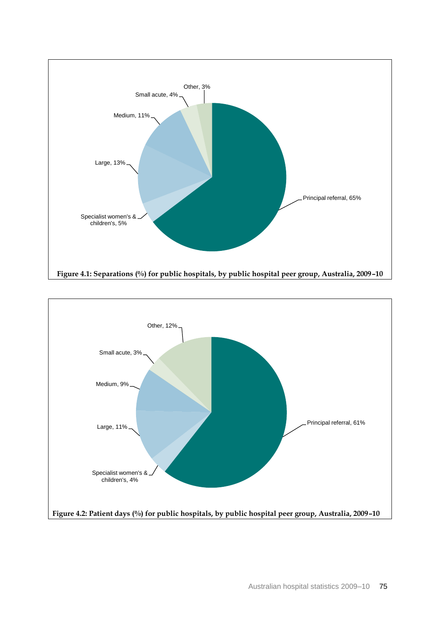

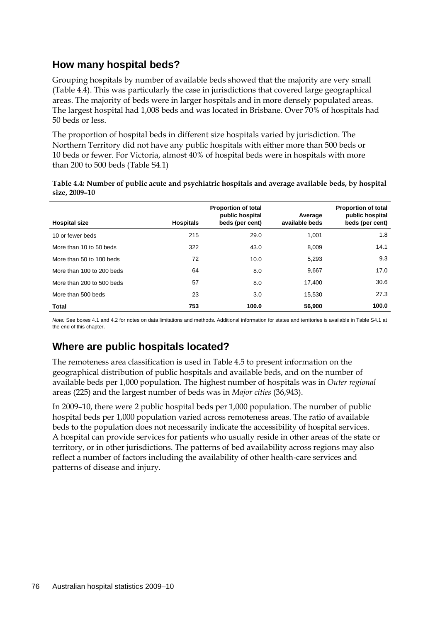## **How many hospital beds?**

Grouping hospitals by number of available beds showed that the majority are very small (Table 4.4). This was particularly the case in jurisdictions that covered large geographical areas. The majority of beds were in larger hospitals and in more densely populated areas. The largest hospital had 1,008 beds and was located in Brisbane. Over 70% of hospitals had 50 beds or less.

The proportion of hospital beds in different size hospitals varied by jurisdiction. The Northern Territory did not have any public hospitals with either more than 500 beds or 10 beds or fewer. For Victoria, almost 40% of hospital beds were in hospitals with more than 200 to 500 beds (Table S4.1)

| Table 4.4: Number of public acute and psychiatric hospitals and average available beds, by hospital |  |
|-----------------------------------------------------------------------------------------------------|--|
| size, 2009-10                                                                                       |  |

| <b>Hospital size</b>      | <b>Hospitals</b> | <b>Proportion of total</b><br>public hospital<br>beds (per cent) | Average<br>available beds | <b>Proportion of total</b><br>public hospital<br>beds (per cent) |
|---------------------------|------------------|------------------------------------------------------------------|---------------------------|------------------------------------------------------------------|
| 10 or fewer beds          | 215              | 29.0                                                             | 1.001                     | 1.8                                                              |
| More than 10 to 50 beds   | 322              | 43.0                                                             | 8.009                     | 14.1                                                             |
| More than 50 to 100 beds  | 72               | 10.0                                                             | 5,293                     | 9.3                                                              |
| More than 100 to 200 beds | 64               | 8.0                                                              | 9,667                     | 17.0                                                             |
| More than 200 to 500 beds | 57               | 8.0                                                              | 17.400                    | 30.6                                                             |
| More than 500 beds        | 23               | 3.0                                                              | 15.530                    | 27.3                                                             |
| <b>Total</b>              | 753              | 100.0                                                            | 56,900                    | 100.0                                                            |

*Note:* See boxes 4.1 and 4.2 for notes on data limitations and methods. Additional information for states and territories is available in Table S4.1 at the end of this chapter.

## **Where are public hospitals located?**

The remoteness area classification is used in Table 4.5 to present information on the geographical distribution of public hospitals and available beds, and on the number of available beds per 1,000 population. The highest number of hospitals was in *Outer regional* areas (225) and the largest number of beds was in *Major cities* (36,943).

In 2009–10, there were 2 public hospital beds per 1,000 population. The number of public hospital beds per 1,000 population varied across remoteness areas. The ratio of available beds to the population does not necessarily indicate the accessibility of hospital services. A hospital can provide services for patients who usually reside in other areas of the state or territory, or in other jurisdictions. The patterns of bed availability across regions may also reflect a number of factors including the availability of other health-care services and patterns of disease and injury.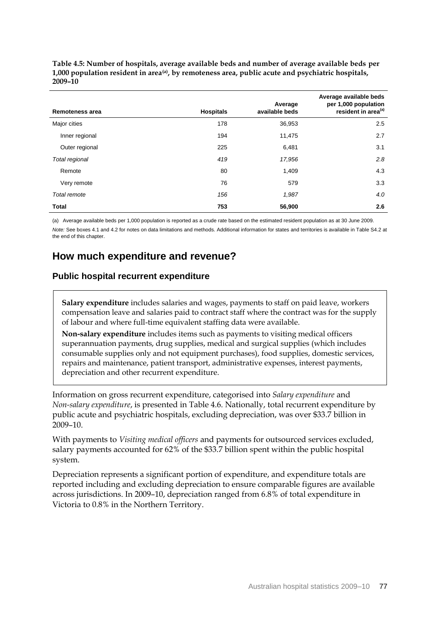**Table 4.5: Number of hospitals, average available beds and number of average available beds per 1,000 population resident in area(a), by remoteness area, public acute and psychiatric hospitals, 2009–10**

| <b>Remoteness area</b> | <b>Hospitals</b> | Average<br>available beds | Average available beds<br>per 1,000 population<br>resident in area <sup>(a)</sup> |
|------------------------|------------------|---------------------------|-----------------------------------------------------------------------------------|
| Major cities           | 178              | 36,953                    | 2.5                                                                               |
| Inner regional         | 194              | 11,475                    | 2.7                                                                               |
| Outer regional         | 225              | 6,481                     | 3.1                                                                               |
| Total regional         | 419              | 17,956                    | 2.8                                                                               |
| Remote                 | 80               | 1,409                     | 4.3                                                                               |
| Very remote            | 76               | 579                       | 3.3                                                                               |
| Total remote           | 156              | 1,987                     | 4.0                                                                               |
| <b>Total</b>           | 753              | 56,900                    | 2.6                                                                               |

(a) Average available beds per 1,000 population is reported as a crude rate based on the estimated resident population as at 30 June 2009. *Note:* See boxes 4.1 and 4.2 for notes on data limitations and methods. Additional information for states and territories is available in Table S4.2 at the end of this chapter.

## **How much expenditure and revenue?**

## **Public hospital recurrent expenditure**

**Salary expenditure** includes salaries and wages, payments to staff on paid leave, workers compensation leave and salaries paid to contract staff where the contract was for the supply of labour and where full-time equivalent staffing data were available.

**Non-salary expenditure** includes items such as payments to visiting medical officers superannuation payments, drug supplies, medical and surgical supplies (which includes consumable supplies only and not equipment purchases), food supplies, domestic services, repairs and maintenance, patient transport, administrative expenses, interest payments, depreciation and other recurrent expenditure.

Information on gross recurrent expenditure, categorised into *Salary expenditure* and *Non-salary expenditure*, is presented in Table 4.6. Nationally, total recurrent expenditure by public acute and psychiatric hospitals, excluding depreciation, was over \$33.7 billion in 2009–10.

With payments to *Visiting medical officers* and payments for outsourced services excluded, salary payments accounted for 62% of the \$33.7 billion spent within the public hospital system.

Depreciation represents a significant portion of expenditure, and expenditure totals are reported including and excluding depreciation to ensure comparable figures are available across jurisdictions. In 2009–10, depreciation ranged from 6.8% of total expenditure in Victoria to 0.8% in the Northern Territory.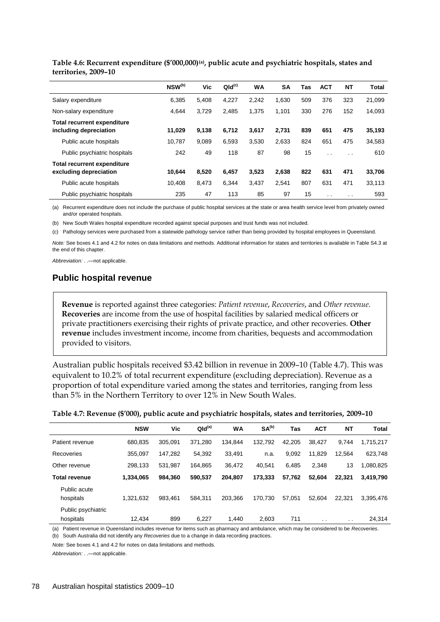|                                                              | NSW <sup>(b)</sup> | Vic   | QId <sup>(c)</sup> | <b>WA</b> | <b>SA</b> | Tas | <b>ACT</b> | <b>NT</b>            | Total  |
|--------------------------------------------------------------|--------------------|-------|--------------------|-----------|-----------|-----|------------|----------------------|--------|
| Salary expenditure                                           | 6,385              | 5,408 | 4,227              | 2,242     | 1,630     | 509 | 376        | 323                  | 21,099 |
| Non-salary expenditure                                       | 4,644              | 3,729 | 2,485              | 1.375     | 1,101     | 330 | 276        | 152                  | 14,093 |
| <b>Total recurrent expenditure</b><br>including depreciation | 11.029             | 9.138 | 6,712              | 3,617     | 2.731     | 839 | 651        | 475                  | 35,193 |
| Public acute hospitals                                       | 10,787             | 9,089 | 6,593              | 3,530     | 2,633     | 824 | 651        | 475                  | 34,583 |
| Public psychiatric hospitals                                 | 242                | 49    | 118                | 87        | 98        | 15  | $\cdot$ .  | $\ddot{\phantom{0}}$ | 610    |
| <b>Total recurrent expenditure</b><br>excluding depreciation | 10.644             | 8.520 | 6.457              | 3,523     | 2.638     | 822 | 631        | 471                  | 33,706 |
| Public acute hospitals                                       | 10.408             | 8.473 | 6.344              | 3.437     | 2.541     | 807 | 631        | 471                  | 33,113 |
| Public psychiatric hospitals                                 | 235                | 47    | 113                | 85        | 97        | 15  | $\cdot$ .  | $\sim$               | 593    |

**Table 4.6: Recurrent expenditure (\$'000,000)(a), public acute and psychiatric hospitals, states and territories, 2009–10**

(a) Recurrent expenditure does not include the purchase of public hospital services at the state or area health service level from privately owned and/or operated hospitals.

(b) New South Wales hospital expenditure recorded against special purposes and trust funds was not included.

(c) Pathology services were purchased from a statewide pathology service rather than being provided by hospital employees in Queensland.

*Note:* See boxes 4.1 and 4.2 for notes on data limitations and methods. Additional information for states and territories is available in Table S4.3 at the end of this chapter.

*Abbreviation:* . .—not applicable.

## **Public hospital revenue**

**Revenue** is reported against three categories: *Patient revenue*, *Recoveries*, and *Other revenue*. **Recoveries** are income from the use of hospital facilities by salaried medical officers or private practitioners exercising their rights of private practice, and other recoveries. **Other revenue** includes investment income, income from charities, bequests and accommodation provided to visitors.

Australian public hospitals received \$3.42 billion in revenue in 2009–10 (Table 4.7). This was equivalent to 10.2% of total recurrent expenditure (excluding depreciation). Revenue as a proportion of total expenditure varied among the states and territories, ranging from less than 5% in the Northern Territory to over 12% in New South Wales.

| Table 4.7: Revenue (\$'000), public acute and psychiatric hospitals, states and territories, 2009-10 |  |  |  |  |
|------------------------------------------------------------------------------------------------------|--|--|--|--|
|                                                                                                      |  |  |  |  |

|                                 | <b>NSW</b> | Vic     | QId <sup>(a)</sup> | WA      | SA <sup>(b)</sup> | Tas    | <b>ACT</b> | <b>NT</b>     | <b>Total</b> |
|---------------------------------|------------|---------|--------------------|---------|-------------------|--------|------------|---------------|--------------|
| Patient revenue                 | 680.835    | 305,091 | 371.280            | 134.844 | 132.792           | 42.205 | 38.427     | 9,744         | 1,715,217    |
| Recoveries                      | 355,097    | 147,282 | 54,392             | 33.491  | n.a.              | 9,092  | 11,829     | 12.564        | 623,748      |
| Other revenue                   | 298.133    | 531,987 | 164.865            | 36,472  | 40.541            | 6.485  | 2,348      | 13            | 1,080,825    |
| <b>Total revenue</b>            | 1,334,065  | 984.360 | 590.537            | 204.807 | 173.333           | 57.762 | 52,604     | 22.321        | 3,419,790    |
| Public acute<br>hospitals       | 1,321,632  | 983.461 | 584.311            | 203.366 | 170.730           | 57,051 | 52.604     | 22.321        | 3,395,476    |
| Public psychiatric<br>hospitals | 12.434     | 899     | 6.227              | 1.440   | 2.603             | 711    | . .        | $\sim$ $\sim$ | 24,314       |

(a) Patient revenue in Queensland includes revenue for items such as pharmacy and ambulance, which may be considered to be *Recoveries*.

(b) South Australia did not identify any *Recoveries* due to a change in data recording practices.

*Note:* See boxes 4.1 and 4.2 for notes on data limitations and methods.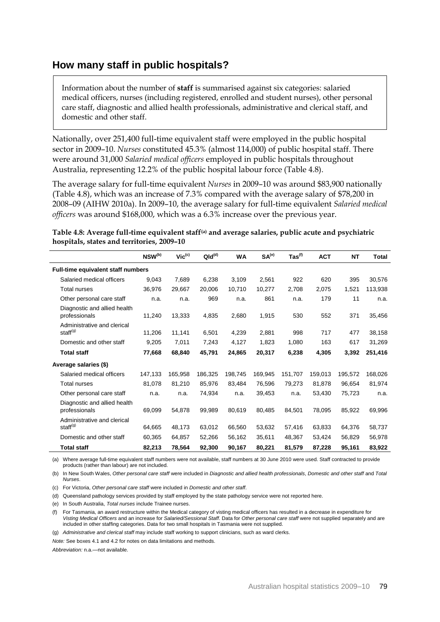## **How many staff in public hospitals?**

Information about the number of **staff** is summarised against six categories: salaried medical officers, nurses (including registered, enrolled and student nurses), other personal care staff, diagnostic and allied health professionals, administrative and clerical staff, and domestic and other staff.

Nationally, over 251,400 full-time equivalent staff were employed in the public hospital sector in 2009–10. *Nurses* constituted 45.3% (almost 114,000) of public hospital staff. There were around 31,000 *Salaried medical officers* employed in public hospitals throughout Australia, representing 12.2% of the public hospital labour force (Table 4.8).

The average salary for full-time equivalent *Nurses* in 2009–10 was around \$83,900 nationally (Table 4.8), which was an increase of 7.3% compared with the average salary of \$78,200 in 2008–09 (AIHW 2010a). In 2009–10, the average salary for full-time equivalent *Salaried medical officers* was around \$168,000, which was a 6.3% increase over the previous year.

**Table 4.8: Average full-time equivalent staff(a) and average salaries, public acute and psychiatric hospitals, states and territories, 2009–10**

|                                                     | NSW <sup>(b)</sup> | $Vic^{(c)}$ | QId <sup>(d)</sup> | <b>WA</b> | SA <sup>(e)</sup> | $\textsf{ Tas}^{(\textsf{f})}$ | <b>ACT</b> | <b>NT</b> | <b>Total</b> |
|-----------------------------------------------------|--------------------|-------------|--------------------|-----------|-------------------|--------------------------------|------------|-----------|--------------|
| Full-time equivalent staff numbers                  |                    |             |                    |           |                   |                                |            |           |              |
| Salaried medical officers                           | 9,043              | 7,689       | 6,238              | 3,109     | 2,561             | 922                            | 620        | 395       | 30,576       |
| Total nurses                                        | 36,976             | 29,667      | 20,006             | 10,710    | 10,277            | 2,708                          | 2,075      | 1,521     | 113,938      |
| Other personal care staff                           | n.a.               | n.a.        | 969                | n.a.      | 861               | n.a.                           | 179        | 11        | n.a.         |
| Diagnostic and allied health<br>professionals       | 11,240             | 13,333      | 4,835              | 2,680     | 1,915             | 530                            | 552        | 371       | 35,456       |
| Administrative and clerical<br>staff <sup>(g)</sup> | 11,206             | 11,141      | 6,501              | 4,239     | 2,881             | 998                            | 717        | 477       | 38,158       |
| Domestic and other staff                            | 9,205              | 7,011       | 7,243              | 4,127     | 1,823             | 1,080                          | 163        | 617       | 31,269       |
| <b>Total staff</b>                                  | 77,668             | 68,840      | 45,791             | 24,865    | 20,317            | 6,238                          | 4,305      | 3,392     | 251,416      |
| Average salaries (\$)                               |                    |             |                    |           |                   |                                |            |           |              |
| Salaried medical officers                           | 147,133            | 165,958     | 186,325            | 198,745   | 169.945           | 151,707                        | 159.013    | 195,572   | 168,026      |
| Total nurses                                        | 81,078             | 81,210      | 85,976             | 83,484    | 76,596            | 79,273                         | 81.878     | 96.654    | 81,974       |
| Other personal care staff                           | n.a.               | n.a.        | 74,934             | n.a.      | 39,453            | n.a.                           | 53,430     | 75,723    | n.a.         |
| Diagnostic and allied health<br>professionals       | 69.099             | 54,878      | 99,989             | 80,619    | 80,485            | 84,501                         | 78,095     | 85,922    | 69,996       |
| Administrative and clerical<br>staff <sup>(g)</sup> | 64,665             | 48,173      | 63,012             | 66,560    | 53,632            | 57,416                         | 63,833     | 64,376    | 58,737       |
| Domestic and other staff                            | 60,365             | 64,857      | 52,266             | 56,162    | 35,611            | 48,367                         | 53,424     | 56,829    | 56,978       |
| <b>Total staff</b>                                  | 82,213             | 78,564      | 92,300             | 90,167    | 80.221            | 81,579                         | 87,228     | 95,161    | 83,922       |

(a) Where average full-time equivalent staff numbers were not available, staff numbers at 30 June 2010 were used. Staff contracted to provide products (rather than labour) are not included.

(b) In New South Wales, *Other personal care staff* were included in *Diagnostic and allied health professionals*, *Domestic and other staff* and *Total Nurses*.

(c) For Victoria, *Other personal care staff* were included in *Domestic and other staff*.

(d) Queensland pathology services provided by staff employed by the state pathology service were not reported here.

(e) In South Australia, *Total nurses* include Trainee nurses.

(f) For Tasmania, an award restructure within the Medical category of visting medical officers has resulted in a decrease in expenditure for *Visting Medical Officers* and an increase for *Salaried/Sessional Staff*. Data for *Other personal care staff* were not supplied separately and are included in other staffing categories. Data for two small hospitals in Tasmania were not supplied.

(g) *Administrative and clerical staff* may include staff working to support clinicians, such as ward clerks.

*Note:* See boxes 4.1 and 4.2 for notes on data limitations and methods.

*Abbreviation:* n.a.—not available.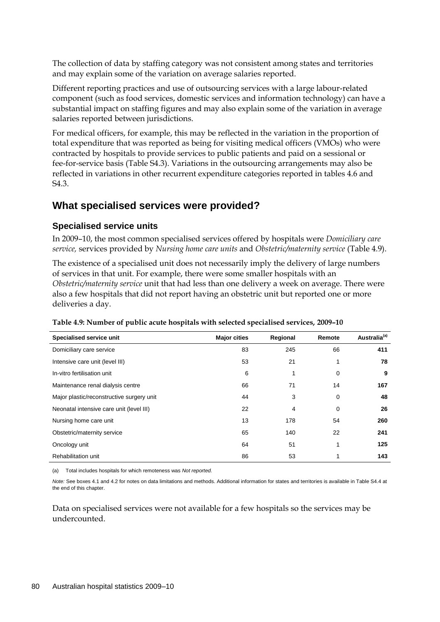The collection of data by staffing category was not consistent among states and territories and may explain some of the variation on average salaries reported.

Different reporting practices and use of outsourcing services with a large labour-related component (such as food services, domestic services and information technology) can have a substantial impact on staffing figures and may also explain some of the variation in average salaries reported between jurisdictions.

For medical officers, for example, this may be reflected in the variation in the proportion of total expenditure that was reported as being for visiting medical officers (VMOs) who were contracted by hospitals to provide services to public patients and paid on a sessional or fee-for-service basis (Table S4.3). Variations in the outsourcing arrangements may also be reflected in variations in other recurrent expenditure categories reported in tables 4.6 and S4.3.

## **What specialised services were provided?**

#### **Specialised service units**

In 2009–10, the most common specialised services offered by hospitals were *Domiciliary care service,* services provided by *Nursing home care units* and *Obstetric/maternity service* (Table 4.9).

The existence of a specialised unit does not necessarily imply the delivery of large numbers of services in that unit. For example, there were some smaller hospitals with an *Obstetric/maternity service* unit that had less than one delivery a week on average. There were also a few hospitals that did not report having an obstetric unit but reported one or more deliveries a day.

| Specialised service unit                  | <b>Major cities</b> | Regional | Remote | Australia <sup>(a)</sup> |
|-------------------------------------------|---------------------|----------|--------|--------------------------|
| Domiciliary care service                  | 83                  | 245      | 66     | 411                      |
| Intensive care unit (level III)           | 53                  | 21       | 1      | 78                       |
| In-vitro fertilisation unit               | 6                   |          | 0      | 9                        |
| Maintenance renal dialysis centre         | 66                  | 71       | 14     | 167                      |
| Major plastic/reconstructive surgery unit | 44                  | 3        | 0      | 48                       |
| Neonatal intensive care unit (level III)  | 22                  | 4        | 0      | 26                       |
| Nursing home care unit                    | 13                  | 178      | 54     | 260                      |
| Obstetric/maternity service               | 65                  | 140      | 22     | 241                      |
| Oncology unit                             | 64                  | 51       | 1      | 125                      |
| Rehabilitation unit                       | 86                  | 53       |        | 143                      |

**Table 4.9: Number of public acute hospitals with selected specialised services, 2009–10**

(a) Total includes hospitals for which remoteness was *Not reported.*

*Note:* See boxes 4.1 and 4.2 for notes on data limitations and methods. Additional information for states and territories is available in Table S4.4 at the end of this chapter.

Data on specialised services were not available for a few hospitals so the services may be undercounted.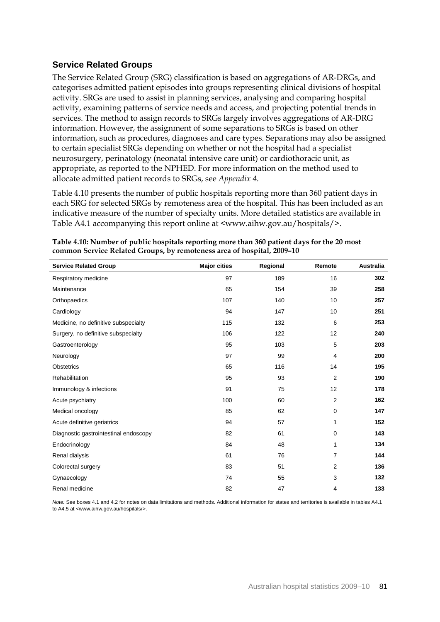## **Service Related Groups**

The Service Related Group (SRG) classification is based on aggregations of AR-DRGs, and categorises admitted patient episodes into groups representing clinical divisions of hospital activity. SRGs are used to assist in planning services, analysing and comparing hospital activity, examining patterns of service needs and access, and projecting potential trends in services. The method to assign records to SRGs largely involves aggregations of AR-DRG information. However, the assignment of some separations to SRGs is based on other information, such as procedures, diagnoses and care types. Separations may also be assigned to certain specialist SRGs depending on whether or not the hospital had a specialist neurosurgery, perinatology (neonatal intensive care unit) or cardiothoracic unit, as appropriate, as reported to the NPHED. For more information on the method used to allocate admitted patient records to SRGs, see *Appendix 4*.

Table 4.10 presents the number of public hospitals reporting more than 360 patient days in each SRG for selected SRGs by remoteness area of the hospital. This has been included as an indicative measure of the number of specialty units. More detailed statistics are available in Table A4.1 accompanying this report online at <www.aihw.gov.au/hospitals/>.

| <b>Service Related Group</b>          | <b>Major cities</b> | Regional | Remote         | <b>Australia</b> |
|---------------------------------------|---------------------|----------|----------------|------------------|
| Respiratory medicine                  | 97                  | 189      | 16             | 302              |
| Maintenance                           | 65                  | 154      | 39             | 258              |
| Orthopaedics                          | 107                 | 140      | 10             | 257              |
| Cardiology                            | 94                  | 147      | 10             | 251              |
| Medicine, no definitive subspecialty  | 115                 | 132      | 6              | 253              |
| Surgery, no definitive subspecialty   | 106                 | 122      | 12             | 240              |
| Gastroenterology                      | 95                  | 103      | 5              | 203              |
| Neurology                             | 97                  | 99       | 4              | 200              |
| Obstetrics                            | 65                  | 116      | 14             | 195              |
| Rehabilitation                        | 95                  | 93       | 2              | 190              |
| Immunology & infections               | 91                  | 75       | 12             | 178              |
| Acute psychiatry                      | 100                 | 60       | $\overline{2}$ | 162              |
| Medical oncology                      | 85                  | 62       | 0              | 147              |
| Acute definitive geriatrics           | 94                  | 57       | 1              | 152              |
| Diagnostic gastrointestinal endoscopy | 82                  | 61       | 0              | 143              |
| Endocrinology                         | 84                  | 48       | 1              | 134              |
| Renal dialysis                        | 61                  | 76       | 7              | 144              |
| Colorectal surgery                    | 83                  | 51       | 2              | 136              |
| Gynaecology                           | 74                  | 55       | 3              | 132              |
| Renal medicine                        | 82                  | 47       | 4              | 133              |

**Table 4.10: Number of public hospitals reporting more than 360 patient days for the 20 most common Service Related Groups, by remoteness area of hospital, 2009–10**

*Note:* See boxes 4.1 and 4.2 for notes on data limitations and methods. Additional information for states and territories is available in tables A4.1 to A4.5 at <www.aihw.gov.au/hospitals/>.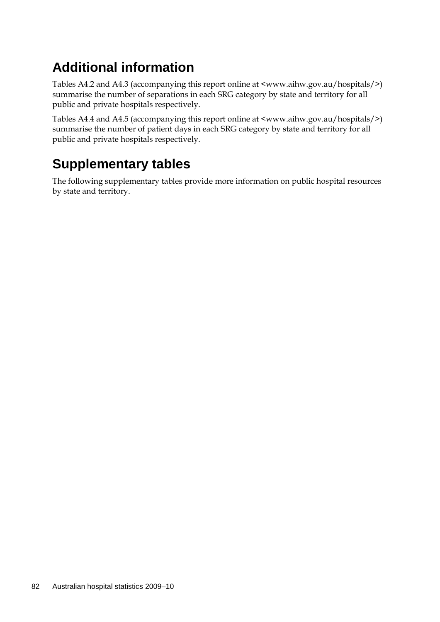# **Additional information**

Tables A4.2 and A4.3 (accompanying this report online at <www.aihw.gov.au/hospitals/>) summarise the number of separations in each SRG category by state and territory for all public and private hospitals respectively.

Tables A4.4 and A4.5 (accompanying this report online at <www.aihw.gov.au/hospitals/>) summarise the number of patient days in each SRG category by state and territory for all public and private hospitals respectively.

## **Supplementary tables**

The following supplementary tables provide more information on public hospital resources by state and territory.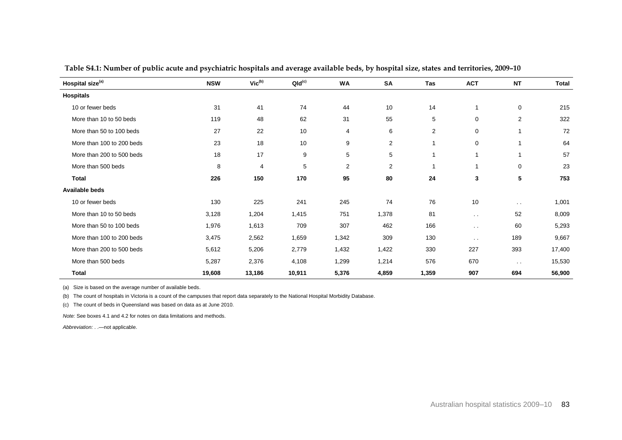| Hospital size <sup>(a)</sup> | <b>NSW</b> | $Vic^{(b)}$ | $QId^{(c)}$ | WA             | <b>SA</b>               | Tas            | <b>ACT</b>    | <b>NT</b>     | <b>Total</b> |
|------------------------------|------------|-------------|-------------|----------------|-------------------------|----------------|---------------|---------------|--------------|
| <b>Hospitals</b>             |            |             |             |                |                         |                |               |               |              |
| 10 or fewer beds             | 31         | 41          | 74          | 44             | 10                      | 14             |               | $\mathbf 0$   | 215          |
| More than 10 to 50 beds      | 119        | 48          | 62          | 31             | 55                      | 5              | $\mathbf 0$   | 2             | 322          |
| More than 50 to 100 beds     | 27         | 22          | 10          | 4              | 6                       | $\overline{2}$ | $\mathbf 0$   |               | 72           |
| More than 100 to 200 beds    | 23         | 18          | 10          | 9              | 2                       | $\mathbf{1}$   | $\mathbf 0$   |               | 64           |
| More than 200 to 500 beds    | 18         | 17          | 9           | 5              | 5                       | $\overline{1}$ |               |               | 57           |
| More than 500 beds           | 8          | 4           | 5           | $\overline{2}$ | $\overline{\mathbf{c}}$ | $\mathbf 1$    |               | $\mathbf 0$   | 23           |
| <b>Total</b>                 | 226        | 150         | 170         | 95             | 80                      | 24             | 3             | 5             | 753          |
| Available beds               |            |             |             |                |                         |                |               |               |              |
| 10 or fewer beds             | 130        | 225         | 241         | 245            | 74                      | 76             | 10            | $\sim$ $\sim$ | 1,001        |
| More than 10 to 50 beds      | 3,128      | 1,204       | 1,415       | 751            | 1,378                   | 81             | $\sim$ $\sim$ | 52            | 8,009        |
| More than 50 to 100 beds     | 1,976      | 1,613       | 709         | 307            | 462                     | 166            | $\sim$ $\sim$ | 60            | 5,293        |
| More than 100 to 200 beds    | 3,475      | 2,562       | 1,659       | 1,342          | 309                     | 130            | $\sim$ $\sim$ | 189           | 9,667        |
| More than 200 to 500 beds    | 5,612      | 5,206       | 2,779       | 1,432          | 1,422                   | 330            | 227           | 393           | 17,400       |
| More than 500 beds           | 5,287      | 2,376       | 4,108       | 1,299          | 1,214                   | 576            | 670           | $\sim$ $\sim$ | 15,530       |
| <b>Total</b>                 | 19,608     | 13,186      | 10,911      | 5,376          | 4,859                   | 1,359          | 907           | 694           | 56,900       |

**Table S4.1: Number of public acute and psychiatric hospitals and average available beds, by hospital size, states and territories, 2009–10**

(a) Size is based on the average number of available beds.

(b) The count of hospitals in Victoria is a count of the campuses that report data separately to the National Hospital Morbidity Database.

(c) The count of beds in Queensland was based on data as at June 2010.

*Note:* See boxes 4.1 and 4.2 for notes on data limitations and methods.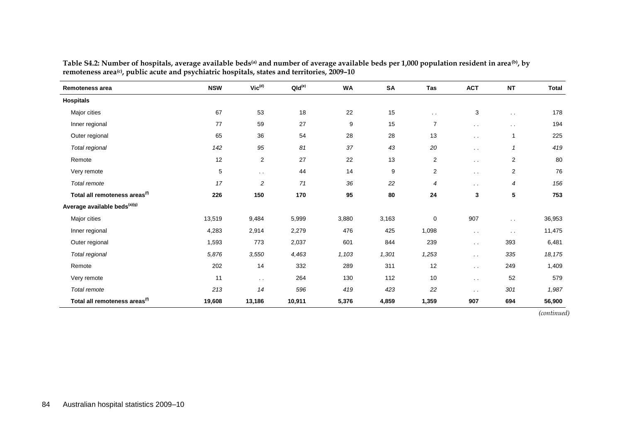| Remoteness area                           | <b>NSW</b> | $\mathsf{Vic}^{\mathsf{(d)}}$ | QId <sup>(e)</sup> | <b>WA</b> | SA    | Tas            | <b>ACT</b>    | <b>NT</b>            | <b>Total</b> |
|-------------------------------------------|------------|-------------------------------|--------------------|-----------|-------|----------------|---------------|----------------------|--------------|
| <b>Hospitals</b>                          |            |                               |                    |           |       |                |               |                      |              |
| Major cities                              | 67         | 53                            | 18                 | 22        | 15    | $\sim$ $\sim$  | 3             | $\sim$ $\sim$        | 178          |
| Inner regional                            | 77         | 59                            | 27                 | 9         | 15    | $\overline{7}$ | $\sim$ $\sim$ | $\ddot{\phantom{0}}$ | 194          |
| Outer regional                            | 65         | 36                            | 54                 | 28        | 28    | 13             | $\sim$ $\sim$ | 1                    | 225          |
| Total regional                            | 142        | 95                            | 81                 | 37        | 43    | 20             | $\sim$ $\sim$ | $\mathbf{1}$         | 419          |
| Remote                                    | 12         | 2                             | 27                 | 22        | 13    | $\overline{c}$ | $\sim$ $\sim$ | 2                    | 80           |
| Very remote                               | 5          | $\sim$ $\sim$                 | 44                 | 14        | 9     | $\sqrt{2}$     | $\sim$ $\sim$ | 2                    | 76           |
| Total remote                              | 17         | $\overline{\mathbf{c}}$       | 71                 | 36        | 22    | 4              | $\sim$ $\sim$ | 4                    | 156          |
| Total all remoteness areas <sup>(f)</sup> | 226        | 150                           | 170                | 95        | 80    | 24             | 3             | 5                    | 753          |
| Average available beds <sup>(a)(g)</sup>  |            |                               |                    |           |       |                |               |                      |              |
| Major cities                              | 13,519     | 9,484                         | 5,999              | 3,880     | 3,163 | 0              | 907           | $\sim$ $\sim$        | 36,953       |
| Inner regional                            | 4,283      | 2,914                         | 2,279              | 476       | 425   | 1,098          | $\sim$ $\sim$ | $\sim$ $\sim$        | 11,475       |
| Outer regional                            | 1,593      | 773                           | 2,037              | 601       | 844   | 239            | $\sim$ $\sim$ | 393                  | 6,481        |
| Total regional                            | 5,876      | 3,550                         | 4,463              | 1,103     | 1,301 | 1,253          | $\sim$ $\sim$ | 335                  | 18,175       |
| Remote                                    | 202        | 14                            | 332                | 289       | 311   | 12             | $\sim$ $\sim$ | 249                  | 1,409        |
| Very remote                               | 11         | $\sim$ $\sim$                 | 264                | 130       | 112   | 10             | $\sim$ $\sim$ | 52                   | 579          |
| Total remote                              | 213        | 14                            | 596                | 419       | 423   | 22             | $\sim$ $\sim$ | 301                  | 1,987        |
| Total all remoteness areas <sup>(f)</sup> | 19,608     | 13,186                        | 10,911             | 5,376     | 4,859 | 1,359          | 907           | 694                  | 56,900       |

**Table S4.2: Number of hospitals, average available beds(a) and number of average available beds per 1,000 population resident in area(b), by remoteness area(c), public acute and psychiatric hospitals, states and territories, 2009–10**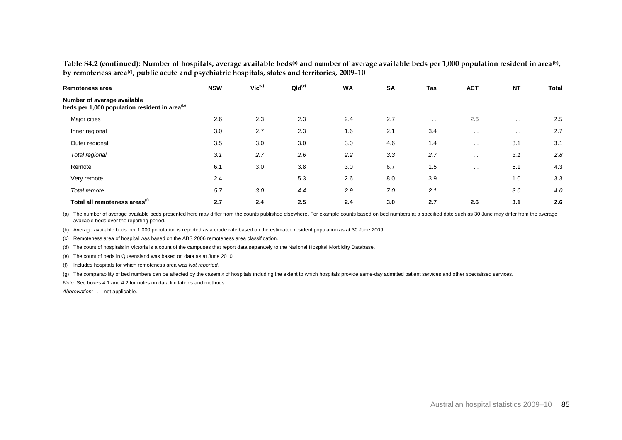| Remoteness area                                                                          | <b>NSW</b> | $Vic^{(d)}$ | QId <sup>(e)</sup> | <b>WA</b> | <b>SA</b> | Tas           | <b>ACT</b>    | <b>NT</b>     | <b>Total</b> |
|------------------------------------------------------------------------------------------|------------|-------------|--------------------|-----------|-----------|---------------|---------------|---------------|--------------|
| Number of average available<br>beds per 1,000 population resident in area <sup>(b)</sup> |            |             |                    |           |           |               |               |               |              |
| Major cities                                                                             | 2.6        | 2.3         | 2.3                | 2.4       | 2.7       | $\sim$ $\sim$ | 2.6           | $\sim$ $\sim$ | 2.5          |
| Inner regional                                                                           | 3.0        | 2.7         | 2.3                | 1.6       | 2.1       | 3.4           | $\sim$ $\sim$ | $\sim$ $\sim$ | 2.7          |
| Outer regional                                                                           | 3.5        | 3.0         | 3.0                | 3.0       | 4.6       | 1.4           | $\sim$ $\sim$ | 3.1           | 3.1          |
| Total regional                                                                           | 3.1        | 2.7         | 2.6                | 2.2       | 3.3       | 2.7           | $\sim$ $\sim$ | 3.1           | 2.8          |
| Remote                                                                                   | 6.1        | 3.0         | 3.8                | 3.0       | 6.7       | 1.5           | $\sim$ $\sim$ | 5.1           | 4.3          |
| Very remote                                                                              | 2.4        | $\sim$      | 5.3                | 2.6       | 8.0       | 3.9           | $\sim$ $\sim$ | 1.0           | 3.3          |
| Total remote                                                                             | 5.7        | 3.0         | 4.4                | 2.9       | 7.0       | 2.1           | $\sim$ $\sim$ | 3.0           | 4.0          |
| Total all remoteness areas <sup>(f)</sup>                                                | 2.7        | 2.4         | 2.5                | 2.4       | 3.0       | 2.7           | 2.6           | 3.1           | 2.6          |

**Table S4.2 (continued): Number of hospitals, average available beds(a) and number of average available beds per 1,000 population resident in area(b) , by remoteness area(c), public acute and psychiatric hospitals, states and territories, 2009–10**

(a) The number of average available beds presented here may differ from the counts published elsewhere. For example counts based on bed numbers at a specified date such as 30 June may differ from the average available beds over the reporting period.

(b) Average available beds per 1,000 population is reported as a crude rate based on the estimated resident population as at 30 June 2009.

(c) Remoteness area of hospital was based on the ABS 2006 remoteness area classification.

(d) The count of hospitals in Victoria is a count of the campuses that report data separately to the National Hospital Morbidity Database.

(e) The count of beds in Queensland was based on data as at June 2010.

(f) Includes hospitals for which remoteness area was *Not reported.*

(g) The comparability of bed numbers can be affected by the casemix of hospitals including the extent to which hospitals provide same-day admitted patient services and other specialised services.

*Note:* See boxes 4.1 and 4.2 for notes on data limitations and methods.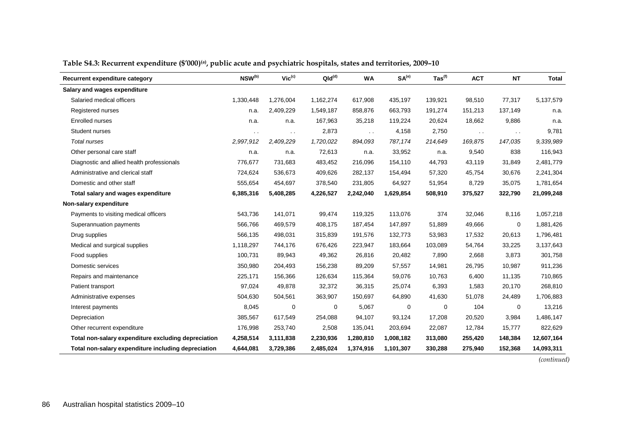| Recurrent expenditure category                      | NSW <sup>(b)</sup> | $Vic^{(c)}$   | QId <sup>(d)</sup> | <b>WA</b>     | SA <sup>(e)</sup> | $\text{Tas}^{(f)}$ | <b>ACT</b>    | <b>NT</b>     | <b>Total</b> |
|-----------------------------------------------------|--------------------|---------------|--------------------|---------------|-------------------|--------------------|---------------|---------------|--------------|
| Salary and wages expenditure                        |                    |               |                    |               |                   |                    |               |               |              |
| Salaried medical officers                           | 1,330,448          | 1,276,004     | 1,162,274          | 617,908       | 435,197           | 139,921            | 98,510        | 77,317        | 5,137,579    |
| Registered nurses                                   | n.a.               | 2,409,229     | 1,549,187          | 858,876       | 663,793           | 191,274            | 151,213       | 137,149       | n.a.         |
| Enrolled nurses                                     | n.a.               | n.a.          | 167,963            | 35,218        | 119,224           | 20,624             | 18,662        | 9,886         | n.a.         |
| Student nurses                                      | $\sim$ $\sim$      | $\sim$ $\sim$ | 2,873              | $\sim$ $\sim$ | 4,158             | 2,750              | $\sim$ $\sim$ | $\sim$ $\sim$ | 9,781        |
| <b>Total nurses</b>                                 | 2,997,912          | 2,409,229     | 1,720,022          | 894,093       | 787,174           | 214,649            | 169,875       | 147,035       | 9,339,989    |
| Other personal care staff                           | n.a.               | n.a.          | 72,613             | n.a.          | 33,952            | n.a.               | 9,540         | 838           | 116,943      |
| Diagnostic and allied health professionals          | 776,677            | 731,683       | 483,452            | 216,096       | 154,110           | 44,793             | 43,119        | 31,849        | 2,481,779    |
| Administrative and clerical staff                   | 724,624            | 536,673       | 409,626            | 282,137       | 154,494           | 57,320             | 45,754        | 30,676        | 2,241,304    |
| Domestic and other staff                            | 555,654            | 454,697       | 378,540            | 231,805       | 64,927            | 51,954             | 8,729         | 35,075        | 1,781,654    |
| Total salary and wages expenditure                  | 6,385,316          | 5,408,285     | 4,226,527          | 2,242,040     | 1,629,854         | 508,910            | 375,527       | 322,790       | 21,099,248   |
| Non-salary expenditure                              |                    |               |                    |               |                   |                    |               |               |              |
| Payments to visiting medical officers               | 543,736            | 141,071       | 99,474             | 119,325       | 113,076           | 374                | 32,046        | 8,116         | 1,057,218    |
| Superannuation payments                             | 566,766            | 469,579       | 408,175            | 187,454       | 147,897           | 51,889             | 49,666        | 0             | 1,881,426    |
| Drug supplies                                       | 566,135            | 498,031       | 315,839            | 191,576       | 132,773           | 53,983             | 17,532        | 20,613        | 1,796,481    |
| Medical and surgical supplies                       | 1,118,297          | 744,176       | 676,426            | 223,947       | 183,664           | 103,089            | 54,764        | 33,225        | 3,137,643    |
| Food supplies                                       | 100,731            | 89,943        | 49,362             | 26,816        | 20,482            | 7,890              | 2,668         | 3,873         | 301,758      |
| Domestic services                                   | 350,980            | 204,493       | 156,238            | 89,209        | 57,557            | 14,981             | 26,795        | 10,987        | 911,236      |
| Repairs and maintenance                             | 225,171            | 156,366       | 126,634            | 115,364       | 59,076            | 10,763             | 6,400         | 11,135        | 710,865      |
| Patient transport                                   | 97,024             | 49,878        | 32,372             | 36,315        | 25,074            | 6,393              | 1,583         | 20,170        | 268,810      |
| Administrative expenses                             | 504,630            | 504,561       | 363,907            | 150,697       | 64,890            | 41,630             | 51,078        | 24,489        | 1,706,883    |
| Interest payments                                   | 8,045              | 0             | 0                  | 5,067         | 0                 | 0                  | 104           | 0             | 13,216       |
| Depreciation                                        | 385,567            | 617,549       | 254,088            | 94,107        | 93,124            | 17,208             | 20,520        | 3,984         | 1,486,147    |
| Other recurrent expenditure                         | 176,998            | 253,740       | 2,508              | 135,041       | 203,694           | 22,087             | 12,784        | 15,777        | 822,629      |
| Total non-salary expenditure excluding depreciation | 4,258,514          | 3,111,838     | 2,230,936          | 1,280,810     | 1,008,182         | 313,080            | 255,420       | 148,384       | 12,607,164   |
| Total non-salary expenditure including depreciation | 4,644,081          | 3,729,386     | 2,485,024          | 1,374,916     | 1,101,307         | 330,288            | 275,940       | 152,368       | 14,093,311   |

#### **Table S4.3: Recurrent expenditure (\$'000) (a), public acute and psychiatric hospitals, states and territories, 2009–10**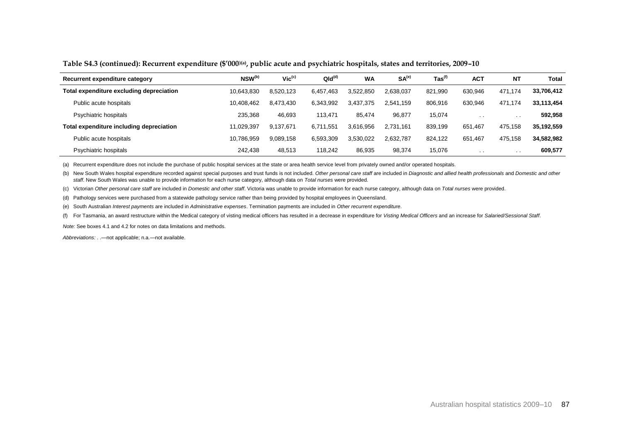#### **Table S4.3 (continued): Recurrent expenditure (\$'000)(a), public acute and psychiatric hospitals, states and territories, 2009–10**

| Recurrent expenditure category           | NSW <sup>(b)</sup> | $Vic^{(c)}$ | QId <sup>(d)</sup> | <b>WA</b> | SA <sup>(e)</sup> | $\mathsf{ Tas}^\mathsf{(f)}$ | <b>ACT</b> | <b>NT</b> | <b>Total</b> |
|------------------------------------------|--------------------|-------------|--------------------|-----------|-------------------|------------------------------|------------|-----------|--------------|
| Total expenditure excluding depreciation | 10,643,830         | 8,520,123   | 6.457.463          | 3,522,850 | 2.638.037         | 821,990                      | 630.946    | 471.174   | 33,706,412   |
| Public acute hospitals                   | 10.408.462         | 8.473.430   | 6,343,992          | 3,437,375 | 2.541.159         | 806,916                      | 630,946    | 471.174   | 33.113.454   |
| Psychiatric hospitals                    | 235.368            | 46,693      | 113.471            | 85.474    | 96.877            | 15,074                       | $\sim$     | . .       | 592,958      |
| Total expenditure including depreciation | 11.029.397         | 9,137,671   | 6.711.551          | 3.616.956 | 2,731,161         | 839,199                      | 651,467    | 475,158   | 35,192,559   |
| Public acute hospitals                   | 10.786.959         | 9,089,158   | 6,593,309          | 3.530.022 | 2.632.787         | 824.122                      | 651.467    | 475.158   | 34,582,982   |
| Psychiatric hospitals                    | 242.438            | 48,513      | 118.242            | 86,935    | 98,374            | 15.076                       | $\cdots$   | . .       | 609,577      |

(a) Recurrent expenditure does not include the purchase of public hospital services at the state or area health service level from privately owned and/or operated hospitals.

(b) New South Wales hospital expenditure recorded against special purposes and trust funds is not included. Other personal care staff are included in Diagnostic and allied health professionals and Domestic and other *staff*. New South Wales was unable to provide information for each nurse category, although data on *Total nurses* were provided.

(c) Victorian *Other personal care staff* are included in *Domestic and other staff*. Victoria was unable to provide information for each nurse category, although data on *Total nurses* were provided.

(d) Pathology services were purchased from a statewide pathology service rather than being provided by hospital employees in Queensland.

(e) South Australian *Interest payments* are included in *Administrative expenses*. Termination payments are included in *Other recurrent expenditure*.

(f) For Tasmania, an award restructure within the Medical category of visting medical officers has resulted in a decrease in expenditure for Visting Medical Officers and an increase for Salaried/Sessional Staff.

*Note:* See boxes 4.1 and 4.2 for notes on data limitations and methods.

*Abbreviations:* . .—not applicable; n.a.—not available.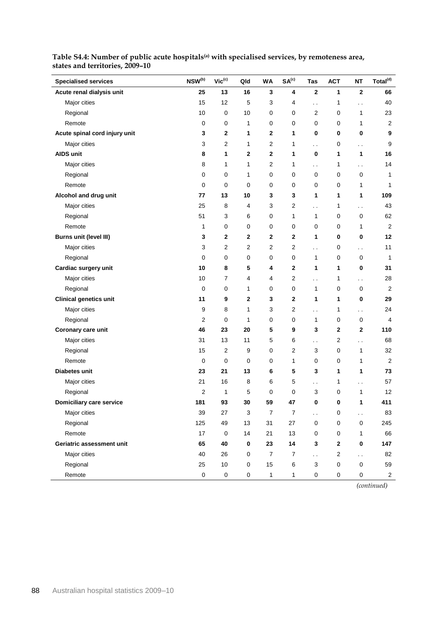| <b>Specialised services</b>   | $NSW^{(b)}$    | $Vic^{(c)}$    | Qld            | <b>WA</b>        | SA <sup>(c)</sup> | Tas                  | <b>ACT</b>              | <b>NT</b>            | Total <sup>(d)</sup> |
|-------------------------------|----------------|----------------|----------------|------------------|-------------------|----------------------|-------------------------|----------------------|----------------------|
| Acute renal dialysis unit     | 25             | 13             | 16             | 3                | 4                 | $\mathbf 2$          | 1                       | $\mathbf 2$          | 66                   |
| Major cities                  | 15             | 12             | 5              | 3                | 4                 | Ω,                   | 1                       | . .                  | 40                   |
| Regional                      | 10             | 0              | 10             | 0                | 0                 | 2                    | 0                       | 1                    | 23                   |
| Remote                        | 0              | 0              | 1              | 0                | 0                 | 0                    | 0                       | 1                    | 2                    |
| Acute spinal cord injury unit | 3              | $\mathbf{2}$   | 1              | 2                | 1                 | 0                    | 0                       | 0                    | 9                    |
| Major cities                  | 3              | 2              | 1              | 2                | 1                 | . .                  | 0                       | $\sim$               | 9                    |
| <b>AIDS unit</b>              | 8              | 1              | 2              | $\mathbf 2$      | 1                 | $\bf{0}$             | 1                       | 1                    | 16                   |
| Major cities                  | 8              | 1              | 1              | 2                | 1                 | . .                  | 1                       | . .                  | 14                   |
| Regional                      | 0              | 0              | 1              | 0                | 0                 | $\mathbf 0$          | 0                       | 0                    | 1                    |
| Remote                        | 0              | $\mathbf 0$    | 0              | 0                | 0                 | 0                    | 0                       | 1                    | 1                    |
| Alcohol and drug unit         | 77             | 13             | 10             | 3                | 3                 | 1                    | 1                       | 1                    | 109                  |
| Major cities                  | 25             | 8              | 4              | 3                | 2                 | . .                  | 1                       | $\ddot{\phantom{0}}$ | 43                   |
| Regional                      | 51             | 3              | 6              | 0                | 1                 | $\mathbf{1}$         | 0                       | 0                    | 62                   |
| Remote                        | 1              | 0              | 0              | 0                | 0                 | 0                    | 0                       | 1                    | 2                    |
| <b>Burns unit (level III)</b> | 3              | 2              | 2              | $\mathbf 2$      | $\mathbf 2$       | 1                    | 0                       | 0                    | 12                   |
| Major cities                  | 3              | 2              | $\overline{2}$ | 2                | $\overline{2}$    | $\ddot{\phantom{0}}$ | 0                       | $\ddot{\phantom{0}}$ | 11                   |
| Regional                      | 0              | 0              | 0              | 0                | 0                 | 1                    | 0                       | 0                    | 1                    |
| Cardiac surgery unit          | 10             | 8              | 5              | 4                | $\mathbf 2$       | 1                    | 1                       | 0                    | 31                   |
| Major cities                  | 10             | $\overline{7}$ | 4              | 4                | 2                 | $\ddot{\phantom{0}}$ | 1                       | $\ddotsc$            | 28                   |
| Regional                      | $\mathbf 0$    | 0              | 1              | 0                | 0                 | $\mathbf{1}$         | 0                       | 0                    | 2                    |
| <b>Clinical genetics unit</b> | 11             | 9              | 2              | 3                | 2                 | 1                    | 1                       | 0                    | 29                   |
| Major cities                  | 9              | 8              | 1              | 3                | 2                 | Ω,                   | 1                       | $\ddot{\phantom{0}}$ | 24                   |
| Regional                      | $\overline{2}$ | 0              | 1              | 0                | 0                 | 1                    | 0                       | 0                    | 4                    |
| Coronary care unit            | 46             | 23             | 20             | 5                | 9                 | 3                    | 2                       | 2                    | 110                  |
| Major cities                  | 31             | 13             | 11             | 5                | 6                 | $\ddot{\phantom{a}}$ | $\boldsymbol{2}$        | $\ddot{\phantom{0}}$ | 68                   |
| Regional                      | 15             | 2              | 9              | 0                | $\overline{2}$    | 3                    | 0                       | 1                    | 32                   |
| Remote                        | $\mathbf 0$    | 0              | 0              | 0                | 1                 | 0                    | 0                       | 1                    | 2                    |
| Diabetes unit                 | 23             | 21             | 13             | 6                | 5                 | 3                    | 1                       | 1                    | 73                   |
| Major cities                  | 21             | 16             | 8              | 6                | 5                 | . .                  | 1                       | . .                  | 57                   |
| Regional                      | 2              | 1              | 5              | 0                | 0                 | 3                    | 0                       | 1                    | 12                   |
| Domiciliary care service      | 181            | 93             | 30             | 59               | 47                | 0                    | $\Omega$                | 1                    | 411                  |
| Major cities                  | 39             | 27             | 3              | $\boldsymbol{7}$ | $\boldsymbol{7}$  | $\ddot{\phantom{0}}$ | 0                       | $\ddot{\phantom{0}}$ | 83                   |
| Regional                      | 125            | 49             | 13             | 31               | 27                | $\mathbf 0$          | $\pmb{0}$               | 0                    | 245                  |
| Remote                        | 17             | $\pmb{0}$      | 14             | 21               | 13                | $\mathbf 0$          | $\pmb{0}$               | $\mathbf{1}$         | 66                   |
| Geriatric assessment unit     | 65             | 40             | $\pmb{0}$      | 23               | 14                | 3                    | 2                       | $\bf{0}$             | 147                  |
| Major cities                  | 40             | 26             | 0              | $\overline{7}$   | $\overline{7}$    | Ц.                   | $\overline{\mathbf{c}}$ | $\ddot{\phantom{0}}$ | 82                   |
| Regional                      | 25             | 10             | 0              | 15               | $\,6\,$           | $\sqrt{3}$           | 0                       | $\mathsf 0$          | 59                   |
| Remote                        | $\pmb{0}$      | $\pmb{0}$      | 0              | 1                | $\mathbf{1}$      | $\pmb{0}$            | $\pmb{0}$               | 0                    | $\overline{a}$       |

**Table S4.4: Number of public acute hospitals(a) with specialised services, by remoteness area, states and territories, 2009–10**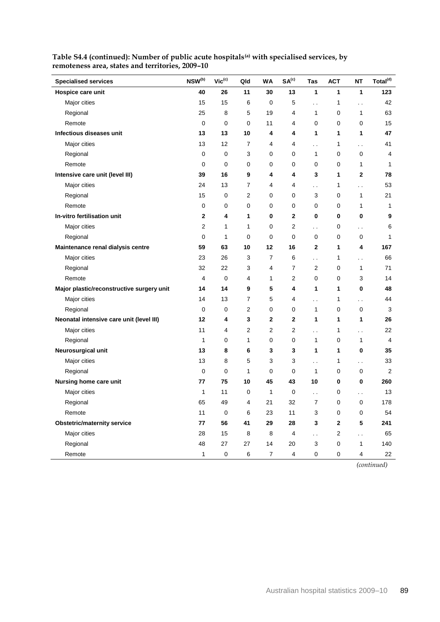| <b>Specialised services</b>               | NSW(b) | $Vic^{(c)}$ | Qld | WA             | SA <sup>(c)</sup> | Tas                  | <b>ACT</b>     | <b>NT</b>            | Total <sup>(d)</sup> |
|-------------------------------------------|--------|-------------|-----|----------------|-------------------|----------------------|----------------|----------------------|----------------------|
| Hospice care unit                         | 40     | 26          | 11  | 30             | 13                | 1                    | 1              | 1                    | 123                  |
| Major cities                              | 15     | 15          | 6   | 0              | 5                 | $\ddot{\phantom{0}}$ | 1              | . .                  | 42                   |
| Regional                                  | 25     | 8           | 5   | 19             | 4                 | 1                    | 0              | 1                    | 63                   |
| Remote                                    | 0      | 0           | 0   | 11             | 4                 | 0                    | 0              | 0                    | 15                   |
| Infectious diseases unit                  | 13     | 13          | 10  | 4              | 4                 | 1                    | 1              | 1                    | 47                   |
| Major cities                              | 13     | 12          | 7   | 4              | 4                 | $\ddot{\phantom{0}}$ | 1              | $\ddotsc$            | 41                   |
| Regional                                  | 0      | 0           | 3   | 0              | 0                 | 1                    | 0              | 0                    | 4                    |
| Remote                                    | 0      | 0           | 0   | 0              | 0                 | 0                    | 0              | 1                    | $\mathbf{1}$         |
| Intensive care unit (level III)           | 39     | 16          | 9   | 4              | 4                 | 3                    | 1              | $\overline{2}$       | 78                   |
| Major cities                              | 24     | 13          | 7   | 4              | 4                 | . .                  | 1              | $\ddot{\phantom{0}}$ | 53                   |
| Regional                                  | 15     | 0           | 2   | 0              | 0                 | 3                    | 0              | 1                    | 21                   |
| Remote                                    | 0      | 0           | 0   | 0              | 0                 | 0                    | 0              | 1                    | $\mathbf{1}$         |
| In-vitro fertilisation unit               | 2      | 4           | 1   | 0              | 2                 | 0                    | 0              | 0                    | 9                    |
| Major cities                              | 2      | 1           | 1   | 0              | 2                 | $\ddot{\phantom{0}}$ | 0              | . .                  | 6                    |
| Regional                                  | 0      | 1           | 0   | 0              | 0                 | $\mathbf 0$          | 0              | 0                    | 1                    |
| Maintenance renal dialysis centre         | 59     | 63          | 10  | 12             | 16                | $\mathbf{2}$         | 1              | 4                    | 167                  |
| Major cities                              | 23     | 26          | 3   | 7              | 6                 | $\ddot{\phantom{0}}$ | 1              | . .                  | 66                   |
| Regional                                  | 32     | 22          | 3   | 4              | $\overline{7}$    | 2                    | 0              | $\mathbf{1}$         | 71                   |
| Remote                                    | 4      | 0           | 4   | 1              | 2                 | 0                    | 0              | 3                    | 14                   |
| Major plastic/reconstructive surgery unit | 14     | 14          | 9   | 5              | 4                 | 1                    | 1              | 0                    | 48                   |
| Major cities                              | 14     | 13          | 7   | 5              | 4                 | $\ddot{\phantom{0}}$ | 1              | $\ddotsc$            | 44                   |
| Regional                                  | 0      | 0           | 2   | 0              | 0                 | 1                    | 0              | 0                    | 3                    |
| Neonatal intensive care unit (level III)  | 12     | 4           | 3   | $\overline{2}$ | 2                 | 1                    | 1              | 1                    | 26                   |
| Major cities                              | 11     | 4           | 2   | 2              | 2                 | Ϋ.                   | 1              | Ξ.                   | 22                   |
| Regional                                  | 1      | 0           | 1   | 0              | 0                 | 1                    | 0              | 1                    | 4                    |
| Neurosurgical unit                        | 13     | 8           | 6   | 3              | 3                 | 1                    | 1              | 0                    | 35                   |
| Major cities                              | 13     | 8           | 5   | 3              | 3                 | $\ddot{\phantom{0}}$ | 1              | $\ddotsc$            | 33                   |
| Regional                                  | 0      | 0           | 1   | 0              | 0                 | 1                    | 0              | 0                    | 2                    |
| Nursing home care unit                    | 77     | 75          | 10  | 45             | 43                | 10                   | 0              | 0                    | 260                  |
| Major cities                              | 1      | 11          | 0   | 1              | 0                 | $\ddot{\phantom{0}}$ | 0              | $\ddot{\phantom{1}}$ | 13                   |
| Regional                                  | 65     | 49          | 4   | 21             | 32                | $\overline{7}$       | $\mathbf 0$    | 0                    | 178                  |
| Remote                                    | 11     | $\mathbf 0$ | 6   | 23             | 11                | 3                    | 0              | 0                    | 54                   |
| <b>Obstetric/maternity service</b>        | 77     | 56          | 41  | 29             | 28                | 3                    | $\mathbf 2$    | 5                    | 241                  |
| Major cities                              | 28     | 15          | 8   | $\bf 8$        | $\overline{4}$    | $\ddotsc$            | $\overline{c}$ | $\ddot{\phantom{0}}$ | 65                   |
| Regional                                  | 48     | $27\,$      | 27  | 14             | 20                | 3                    | $\pmb{0}$      | $\mathbf{1}$         | 140                  |
| Remote                                    | 1      | 0           | 6   | $\overline{7}$ | 4                 | $\pmb{0}$            | 0              | 4                    | 22                   |

### **Table S4.4 (continued): Number of public acute hospitals(a) with specialised services, by remoteness area, states and territories, 2009–10**